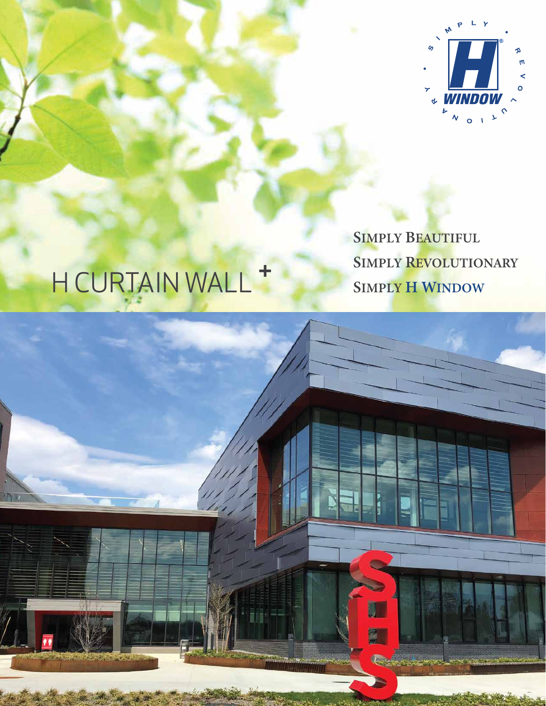

## **SIMPLY BEAUTIFUL SIMPLY REVOLUTIONARY SIMPLY H WINDOW**

## H CURTAIN WALL +